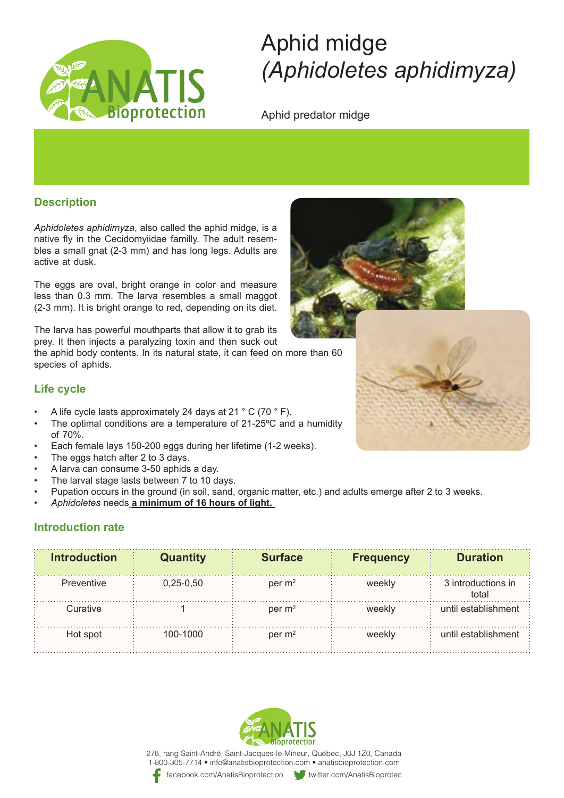

# Aphid midge *(Aphidoletes aphidimyza)*

Aphid predator midge

## **Description**

Aphidoletes aphidimyza, also called the aphid midge, is a bles a small gnat (2-3 mm) and has long legs. Adults are native fly in the Cecidomyiidae familly. The adult resemactive at dusk.

The eggs are oval, bright orange in color and measure less than 0.3 mm. The larva resembles a small maggot  $(2-3$  mm). It is bright orange to red, depending on its diet.

The larva has powerful mouthparts that allow it to grab its prey. It then injects a paralyzing toxin and then suck out

the aphid body contents. In its natural state, it can feed on more than 60 species of aphids.

### **Life cycle**

- A life cycle lasts approximately 24 days at 21  $\degree$  C (70  $\degree$  F).
- The optimal conditions are a temperature of 21-25°C and a humidity of 70%.
- Each female lays 150-200 eggs during her lifetime (1-2 weeks).
- The eggs hatch after 2 to 3 days.
- A larva can consume 3-50 aphids a day.
- The larval stage lasts between 7 to 10 days.
- Pupation occurs in the ground (in soil, sand, organic matter, etc.) and adults emerge after 2 to 3 weeks.
- Aphidoletes needs **a minimum of 16 hours of light.**

## **Introduction rate**

| <b>Introduction</b> | <b>Quantity</b> | <b>Surface</b> | <b>Frequency</b> | <b>Duration</b>             |
|---------------------|-----------------|----------------|------------------|-----------------------------|
| <b>Preventive</b>   | $0,25-0,50$     | per $m2$       | weekly           | 3 introductions in<br>total |
| Curative            |                 | per $m2$       | weekly           | until establishment         |
| Hot spot            | 100-1000        | per $m2$       | weekly           | until establishment         |



278, rang Saint-André, Saint-Jacques-le-Mineur, Québec, J0J 1Z0, Canada 1-800-305-7714 • info@anatisbioprotection.com • anatisbioprotection.com

facebook.com/AnatisBioprotection witter.com/AnatisBioprotection